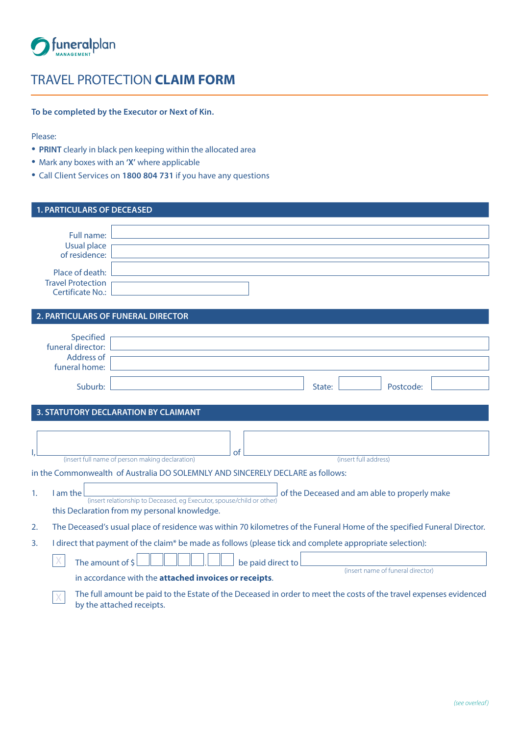

## TRAVEL PROTECTION **CLAIM FORM**

**To be completed by the Executor or Next of Kin.**

Please:

- **PRINT** clearly in black pen keeping within the allocated area
- Mark any boxes with an **'X'** where applicable
- Call Client Services on **1800 804 731** if you have any questions

| <b>1. PARTICULARS OF DECEASED</b>                                      |                                                                                                                                                                                                                                                         |
|------------------------------------------------------------------------|---------------------------------------------------------------------------------------------------------------------------------------------------------------------------------------------------------------------------------------------------------|
| Full name:<br>Usual place<br>of residence:                             |                                                                                                                                                                                                                                                         |
| Place of death:<br><b>Travel Protection</b><br><b>Certificate No.:</b> |                                                                                                                                                                                                                                                         |
|                                                                        | 2. PARTICULARS OF FUNERAL DIRECTOR                                                                                                                                                                                                                      |
| Specified<br>funeral director:<br><b>Address of</b><br>funeral home:   |                                                                                                                                                                                                                                                         |
| Suburb:                                                                | State:<br>Postcode:                                                                                                                                                                                                                                     |
|                                                                        | 3. STATUTORY DECLARATION BY CLAIMANT<br>of                                                                                                                                                                                                              |
|                                                                        | (insert full name of person making declaration)<br>(insert full address)                                                                                                                                                                                |
| I am the<br>1.                                                         | in the Commonwealth of Australia DO SOLEMNLY AND SINCERELY DECLARE as follows:<br>of the Deceased and am able to properly make<br>(insert relationship to Deceased, eg Executor, spouse/child or other)<br>this Declaration from my personal knowledge. |
| 2.                                                                     | The Deceased's usual place of residence was within 70 kilometres of the Funeral Home of the specified Funeral Director.                                                                                                                                 |
| 3.<br>The amount of \$                                                 | I direct that payment of the claim* be made as follows (please tick and complete appropriate selection):<br>be paid direct to<br>(insert name of funeral director)<br>in accordance with the attached invoices or receipts.                             |
|                                                                        | The full amount be paid to the Estate of the Deceased in order to meet the costs of the travel expenses evidenced<br>by the attached receipts.                                                                                                          |